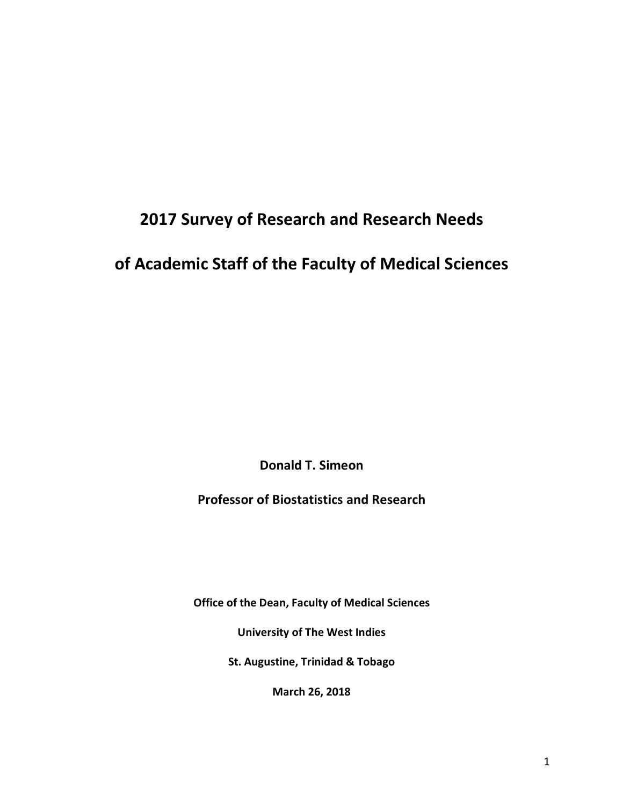# **2017 Survey of Research and Research Needs**

# **of Academic Staff of the Faculty of Medical Sciences**

**Donald T. Simeon**

**Professor of Biostatistics and Research**

**Office of the Dean, Faculty of Medical Sciences**

**University of The West Indies**

**St. Augustine, Trinidad & Tobago**

**March 26, 2018**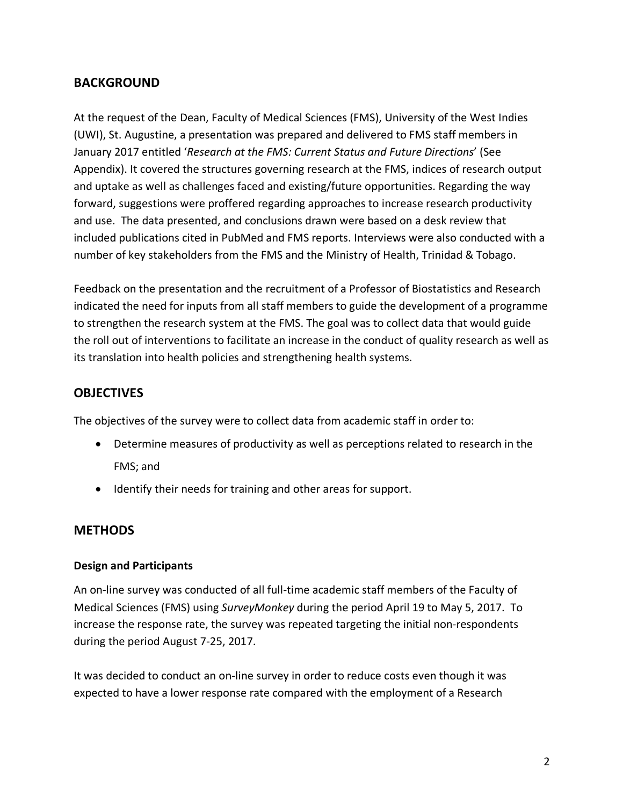# **BACKGROUND**

At the request of the Dean, Faculty of Medical Sciences (FMS), University of the West Indies (UWI), St. Augustine, a presentation was prepared and delivered to FMS staff members in January 2017 entitled '*Research at the FMS: Current Status and Future Directions*' (See Appendix). It covered the structures governing research at the FMS, indices of research output and uptake as well as challenges faced and existing/future opportunities. Regarding the way forward, suggestions were proffered regarding approaches to increase research productivity and use. The data presented, and conclusions drawn were based on a desk review that included publications cited in PubMed and FMS reports. Interviews were also conducted with a number of key stakeholders from the FMS and the Ministry of Health, Trinidad & Tobago.

Feedback on the presentation and the recruitment of a Professor of Biostatistics and Research indicated the need for inputs from all staff members to guide the development of a programme to strengthen the research system at the FMS. The goal was to collect data that would guide the roll out of interventions to facilitate an increase in the conduct of quality research as well as its translation into health policies and strengthening health systems.

## **OBJECTIVES**

The objectives of the survey were to collect data from academic staff in order to:

- Determine measures of productivity as well as perceptions related to research in the FMS; and
- Identify their needs for training and other areas for support.

## **METHODS**

## **Design and Participants**

An on-line survey was conducted of all full-time academic staff members of the Faculty of Medical Sciences (FMS) using *SurveyMonkey* during the period April 19 to May 5, 2017. To increase the response rate, the survey was repeated targeting the initial non-respondents during the period August 7-25, 2017.

It was decided to conduct an on-line survey in order to reduce costs even though it was expected to have a lower response rate compared with the employment of a Research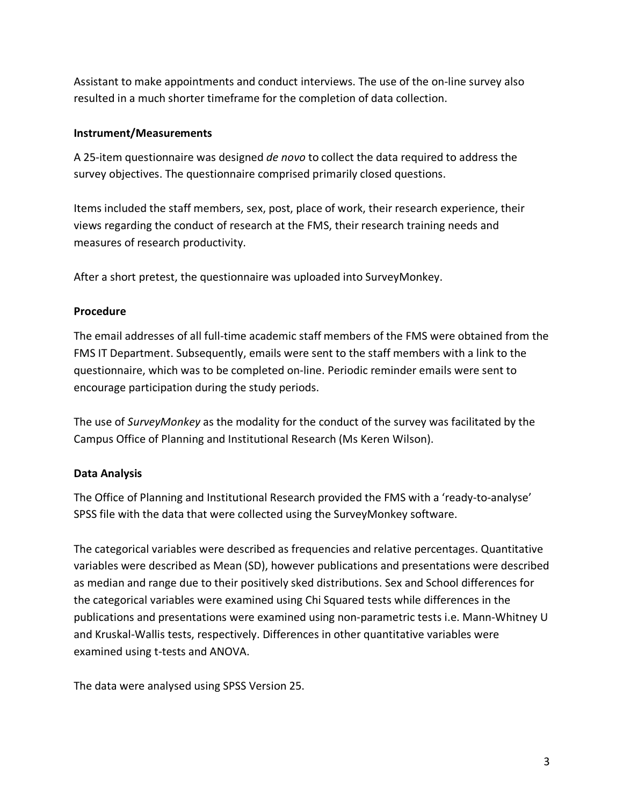Assistant to make appointments and conduct interviews. The use of the on-line survey also resulted in a much shorter timeframe for the completion of data collection.

#### **Instrument/Measurements**

A 25-item questionnaire was designed *de novo* to collect the data required to address the survey objectives. The questionnaire comprised primarily closed questions.

Items included the staff members, sex, post, place of work, their research experience, their views regarding the conduct of research at the FMS, their research training needs and measures of research productivity.

After a short pretest, the questionnaire was uploaded into SurveyMonkey.

#### **Procedure**

The email addresses of all full-time academic staff members of the FMS were obtained from the FMS IT Department. Subsequently, emails were sent to the staff members with a link to the questionnaire, which was to be completed on-line. Periodic reminder emails were sent to encourage participation during the study periods.

The use of *SurveyMonkey* as the modality for the conduct of the survey was facilitated by the Campus Office of Planning and Institutional Research (Ms Keren Wilson).

## **Data Analysis**

The Office of Planning and Institutional Research provided the FMS with a 'ready-to-analyse' SPSS file with the data that were collected using the SurveyMonkey software.

The categorical variables were described as frequencies and relative percentages. Quantitative variables were described as Mean (SD), however publications and presentations were described as median and range due to their positively sked distributions. Sex and School differences for the categorical variables were examined using Chi Squared tests while differences in the publications and presentations were examined using non-parametric tests i.e. Mann-Whitney U and Kruskal-Wallis tests, respectively. Differences in other quantitative variables were examined using t-tests and ANOVA.

The data were analysed using SPSS Version 25.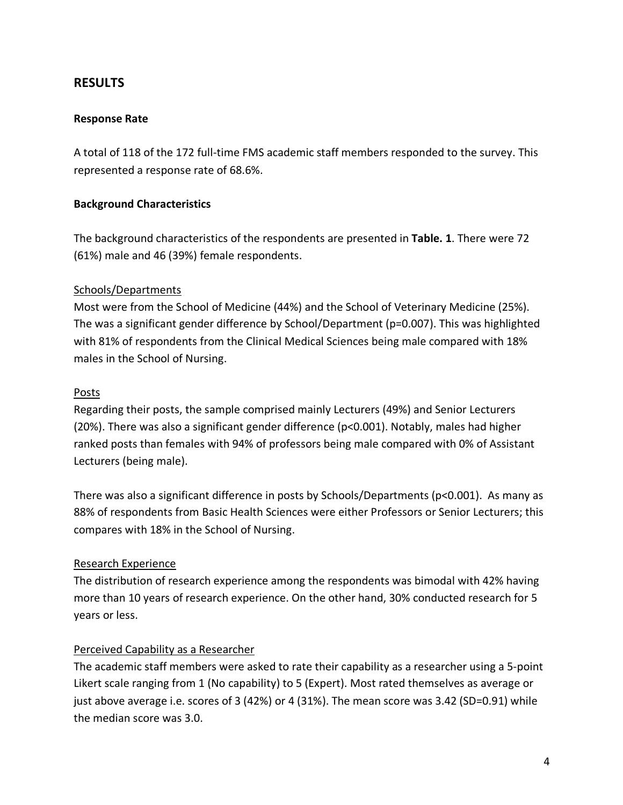## **RESULTS**

#### **Response Rate**

A total of 118 of the 172 full-time FMS academic staff members responded to the survey. This represented a response rate of 68.6%.

#### **Background Characteristics**

The background characteristics of the respondents are presented in **Table. 1**. There were 72 (61%) male and 46 (39%) female respondents.

#### Schools/Departments

Most were from the School of Medicine (44%) and the School of Veterinary Medicine (25%). The was a significant gender difference by School/Department (p=0.007). This was highlighted with 81% of respondents from the Clinical Medical Sciences being male compared with 18% males in the School of Nursing.

#### Posts

Regarding their posts, the sample comprised mainly Lecturers (49%) and Senior Lecturers (20%). There was also a significant gender difference (p<0.001). Notably, males had higher ranked posts than females with 94% of professors being male compared with 0% of Assistant Lecturers (being male).

There was also a significant difference in posts by Schools/Departments (p<0.001). As many as 88% of respondents from Basic Health Sciences were either Professors or Senior Lecturers; this compares with 18% in the School of Nursing.

## Research Experience

The distribution of research experience among the respondents was bimodal with 42% having more than 10 years of research experience. On the other hand, 30% conducted research for 5 years or less.

## Perceived Capability as a Researcher

The academic staff members were asked to rate their capability as a researcher using a 5-point Likert scale ranging from 1 (No capability) to 5 (Expert). Most rated themselves as average or just above average i.e. scores of 3 (42%) or 4 (31%). The mean score was 3.42 (SD=0.91) while the median score was 3.0.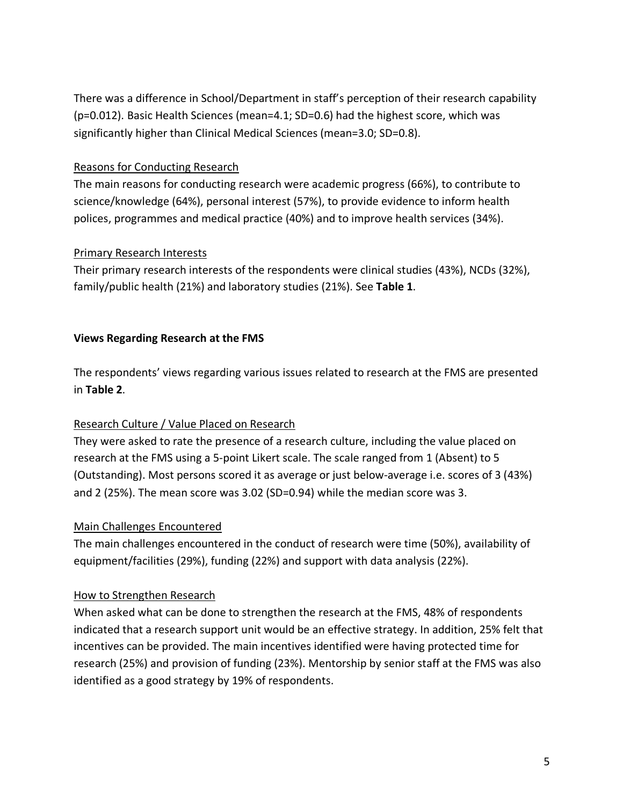There was a difference in School/Department in staff's perception of their research capability (p=0.012). Basic Health Sciences (mean=4.1; SD=0.6) had the highest score, which was significantly higher than Clinical Medical Sciences (mean=3.0; SD=0.8).

## Reasons for Conducting Research

The main reasons for conducting research were academic progress (66%), to contribute to science/knowledge (64%), personal interest (57%), to provide evidence to inform health polices, programmes and medical practice (40%) and to improve health services (34%).

## Primary Research Interests

Their primary research interests of the respondents were clinical studies (43%), NCDs (32%), family/public health (21%) and laboratory studies (21%). See **Table 1**.

## **Views Regarding Research at the FMS**

The respondents' views regarding various issues related to research at the FMS are presented in **Table 2**.

## Research Culture / Value Placed on Research

They were asked to rate the presence of a research culture, including the value placed on research at the FMS using a 5-point Likert scale. The scale ranged from 1 (Absent) to 5 (Outstanding). Most persons scored it as average or just below-average i.e. scores of 3 (43%) and 2 (25%). The mean score was 3.02 (SD=0.94) while the median score was 3.

## Main Challenges Encountered

The main challenges encountered in the conduct of research were time (50%), availability of equipment/facilities (29%), funding (22%) and support with data analysis (22%).

## How to Strengthen Research

When asked what can be done to strengthen the research at the FMS, 48% of respondents indicated that a research support unit would be an effective strategy. In addition, 25% felt that incentives can be provided. The main incentives identified were having protected time for research (25%) and provision of funding (23%). Mentorship by senior staff at the FMS was also identified as a good strategy by 19% of respondents.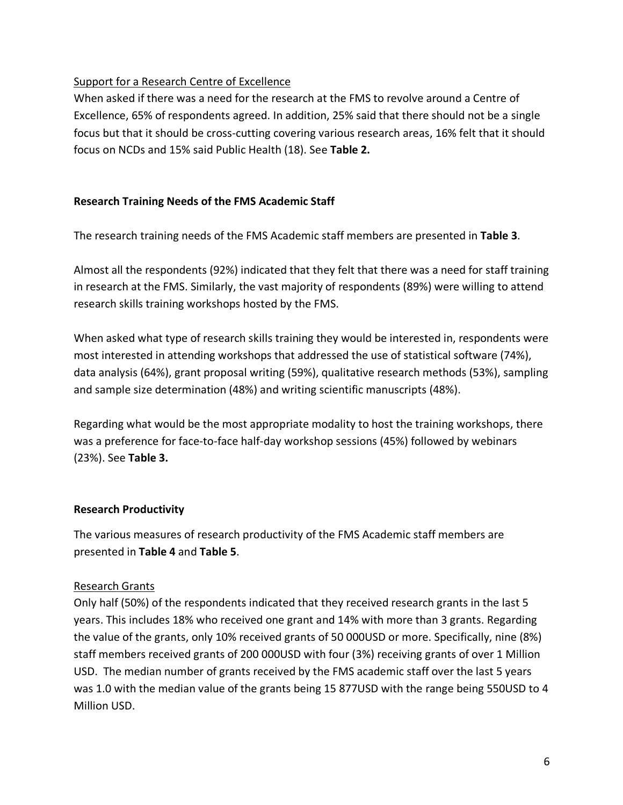## Support for a Research Centre of Excellence

When asked if there was a need for the research at the FMS to revolve around a Centre of Excellence, 65% of respondents agreed. In addition, 25% said that there should not be a single focus but that it should be cross-cutting covering various research areas, 16% felt that it should focus on NCDs and 15% said Public Health (18). See **Table 2.**

## **Research Training Needs of the FMS Academic Staff**

The research training needs of the FMS Academic staff members are presented in **Table 3**.

Almost all the respondents (92%) indicated that they felt that there was a need for staff training in research at the FMS. Similarly, the vast majority of respondents (89%) were willing to attend research skills training workshops hosted by the FMS.

When asked what type of research skills training they would be interested in, respondents were most interested in attending workshops that addressed the use of statistical software (74%), data analysis (64%), grant proposal writing (59%), qualitative research methods (53%), sampling and sample size determination (48%) and writing scientific manuscripts (48%).

Regarding what would be the most appropriate modality to host the training workshops, there was a preference for face-to-face half-day workshop sessions (45%) followed by webinars (23%). See **Table 3.**

## **Research Productivity**

The various measures of research productivity of the FMS Academic staff members are presented in **Table 4** and **Table 5**.

## Research Grants

Only half (50%) of the respondents indicated that they received research grants in the last 5 years. This includes 18% who received one grant and 14% with more than 3 grants. Regarding the value of the grants, only 10% received grants of 50 000USD or more. Specifically, nine (8%) staff members received grants of 200 000USD with four (3%) receiving grants of over 1 Million USD. The median number of grants received by the FMS academic staff over the last 5 years was 1.0 with the median value of the grants being 15 877USD with the range being 550USD to 4 Million USD.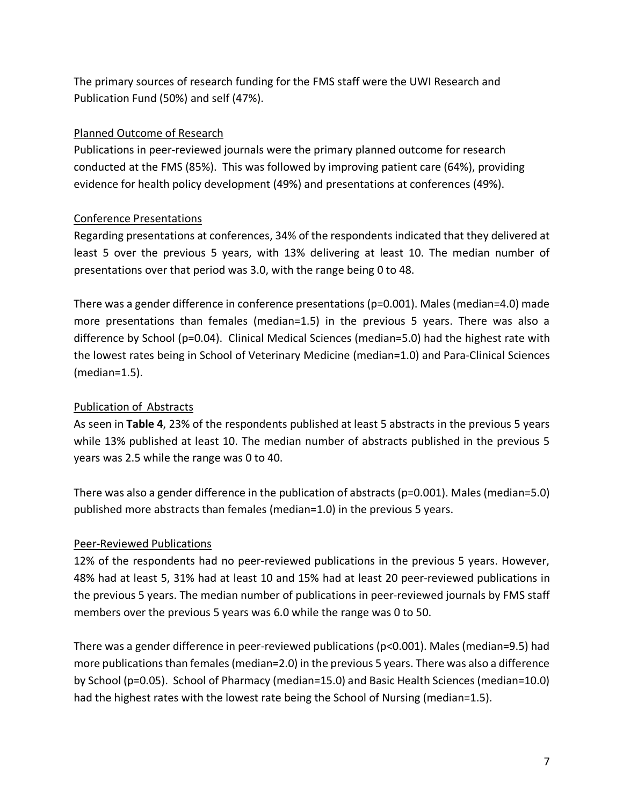The primary sources of research funding for the FMS staff were the UWI Research and Publication Fund (50%) and self (47%).

#### Planned Outcome of Research

Publications in peer-reviewed journals were the primary planned outcome for research conducted at the FMS (85%). This was followed by improving patient care (64%), providing evidence for health policy development (49%) and presentations at conferences (49%).

#### Conference Presentations

Regarding presentations at conferences, 34% of the respondents indicated that they delivered at least 5 over the previous 5 years, with 13% delivering at least 10. The median number of presentations over that period was 3.0, with the range being 0 to 48.

There was a gender difference in conference presentations (p=0.001). Males (median=4.0) made more presentations than females (median=1.5) in the previous 5 years. There was also a difference by School (p=0.04). Clinical Medical Sciences (median=5.0) had the highest rate with the lowest rates being in School of Veterinary Medicine (median=1.0) and Para-Clinical Sciences (median=1.5).

#### Publication of Abstracts

As seen in **Table 4**, 23% of the respondents published at least 5 abstracts in the previous 5 years while 13% published at least 10. The median number of abstracts published in the previous 5 years was 2.5 while the range was 0 to 40.

There was also a gender difference in the publication of abstracts (p=0.001). Males (median=5.0) published more abstracts than females (median=1.0) in the previous 5 years.

#### Peer-Reviewed Publications

12% of the respondents had no peer-reviewed publications in the previous 5 years. However, 48% had at least 5, 31% had at least 10 and 15% had at least 20 peer-reviewed publications in the previous 5 years. The median number of publications in peer-reviewed journals by FMS staff members over the previous 5 years was 6.0 while the range was 0 to 50.

There was a gender difference in peer-reviewed publications (p<0.001). Males (median=9.5) had more publications than females (median=2.0) in the previous 5 years. There was also a difference by School (p=0.05). School of Pharmacy (median=15.0) and Basic Health Sciences (median=10.0) had the highest rates with the lowest rate being the School of Nursing (median=1.5).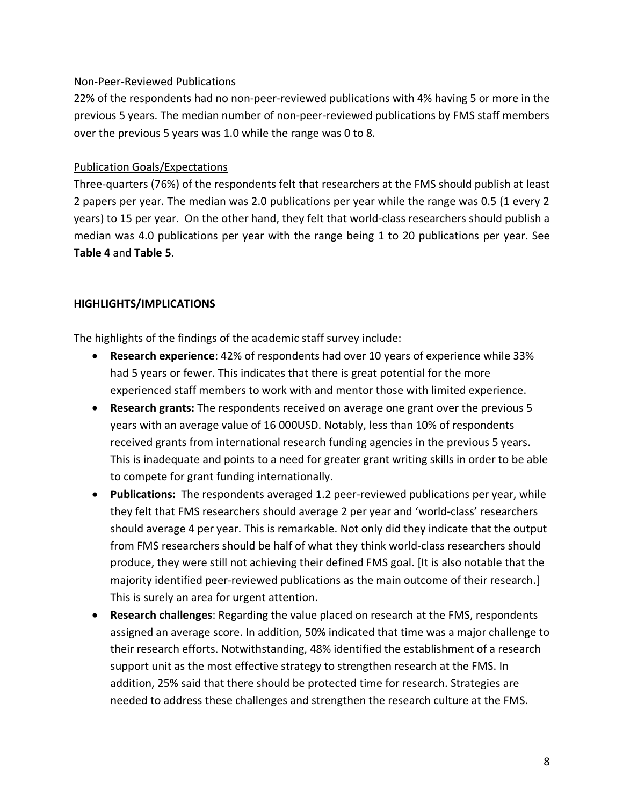#### Non-Peer-Reviewed Publications

22% of the respondents had no non-peer-reviewed publications with 4% having 5 or more in the previous 5 years. The median number of non-peer-reviewed publications by FMS staff members over the previous 5 years was 1.0 while the range was 0 to 8.

#### Publication Goals/Expectations

Three-quarters (76%) of the respondents felt that researchers at the FMS should publish at least 2 papers per year. The median was 2.0 publications per year while the range was 0.5 (1 every 2 years) to 15 per year. On the other hand, they felt that world-class researchers should publish a median was 4.0 publications per year with the range being 1 to 20 publications per year. See **Table 4** and **Table 5**.

#### **HIGHLIGHTS/IMPLICATIONS**

The highlights of the findings of the academic staff survey include:

- **Research experience**: 42% of respondents had over 10 years of experience while 33% had 5 years or fewer. This indicates that there is great potential for the more experienced staff members to work with and mentor those with limited experience.
- **Research grants:** The respondents received on average one grant over the previous 5 years with an average value of 16 000USD. Notably, less than 10% of respondents received grants from international research funding agencies in the previous 5 years. This is inadequate and points to a need for greater grant writing skills in order to be able to compete for grant funding internationally.
- **Publications:** The respondents averaged 1.2 peer-reviewed publications per year, while they felt that FMS researchers should average 2 per year and 'world-class' researchers should average 4 per year. This is remarkable. Not only did they indicate that the output from FMS researchers should be half of what they think world-class researchers should produce, they were still not achieving their defined FMS goal. [It is also notable that the majority identified peer-reviewed publications as the main outcome of their research.] This is surely an area for urgent attention.
- **Research challenges**: Regarding the value placed on research at the FMS, respondents assigned an average score. In addition, 50% indicated that time was a major challenge to their research efforts. Notwithstanding, 48% identified the establishment of a research support unit as the most effective strategy to strengthen research at the FMS. In addition, 25% said that there should be protected time for research. Strategies are needed to address these challenges and strengthen the research culture at the FMS.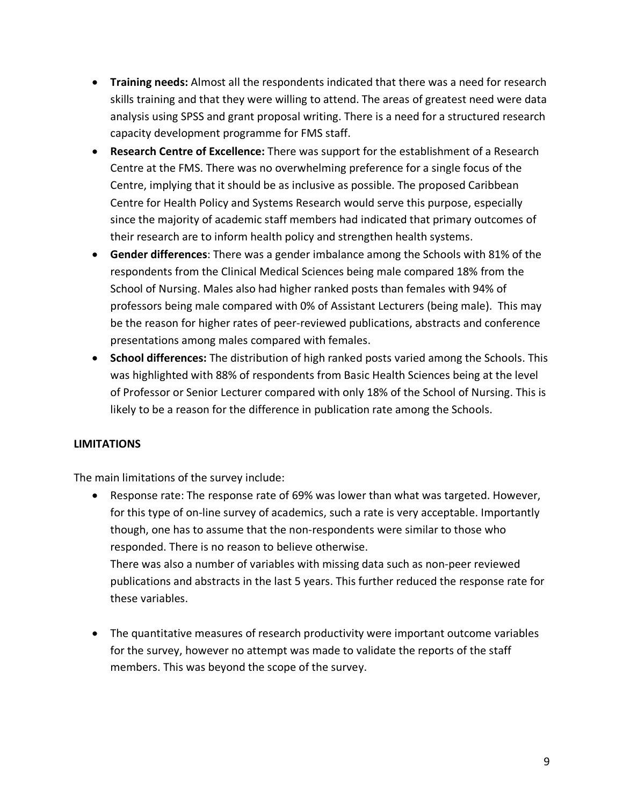- **Training needs:** Almost all the respondents indicated that there was a need for research skills training and that they were willing to attend. The areas of greatest need were data analysis using SPSS and grant proposal writing. There is a need for a structured research capacity development programme for FMS staff.
- **Research Centre of Excellence:** There was support for the establishment of a Research Centre at the FMS. There was no overwhelming preference for a single focus of the Centre, implying that it should be as inclusive as possible. The proposed Caribbean Centre for Health Policy and Systems Research would serve this purpose, especially since the majority of academic staff members had indicated that primary outcomes of their research are to inform health policy and strengthen health systems.
- **Gender differences**: There was a gender imbalance among the Schools with 81% of the respondents from the Clinical Medical Sciences being male compared 18% from the School of Nursing. Males also had higher ranked posts than females with 94% of professors being male compared with 0% of Assistant Lecturers (being male). This may be the reason for higher rates of peer-reviewed publications, abstracts and conference presentations among males compared with females.
- **School differences:** The distribution of high ranked posts varied among the Schools. This was highlighted with 88% of respondents from Basic Health Sciences being at the level of Professor or Senior Lecturer compared with only 18% of the School of Nursing. This is likely to be a reason for the difference in publication rate among the Schools.

## **LIMITATIONS**

The main limitations of the survey include:

• Response rate: The response rate of 69% was lower than what was targeted. However, for this type of on-line survey of academics, such a rate is very acceptable. Importantly though, one has to assume that the non-respondents were similar to those who responded. There is no reason to believe otherwise. There was also a number of variables with missing data such as non-peer reviewed

publications and abstracts in the last 5 years. This further reduced the response rate for these variables.

• The quantitative measures of research productivity were important outcome variables for the survey, however no attempt was made to validate the reports of the staff members. This was beyond the scope of the survey.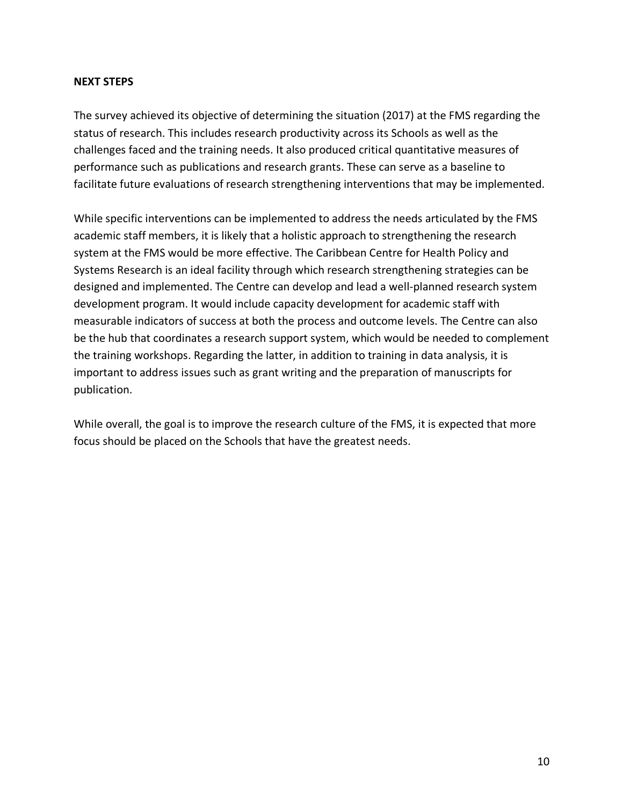#### **NEXT STEPS**

The survey achieved its objective of determining the situation (2017) at the FMS regarding the status of research. This includes research productivity across its Schools as well as the challenges faced and the training needs. It also produced critical quantitative measures of performance such as publications and research grants. These can serve as a baseline to facilitate future evaluations of research strengthening interventions that may be implemented.

While specific interventions can be implemented to address the needs articulated by the FMS academic staff members, it is likely that a holistic approach to strengthening the research system at the FMS would be more effective. The Caribbean Centre for Health Policy and Systems Research is an ideal facility through which research strengthening strategies can be designed and implemented. The Centre can develop and lead a well-planned research system development program. It would include capacity development for academic staff with measurable indicators of success at both the process and outcome levels. The Centre can also be the hub that coordinates a research support system, which would be needed to complement the training workshops. Regarding the latter, in addition to training in data analysis, it is important to address issues such as grant writing and the preparation of manuscripts for publication.

While overall, the goal is to improve the research culture of the FMS, it is expected that more focus should be placed on the Schools that have the greatest needs.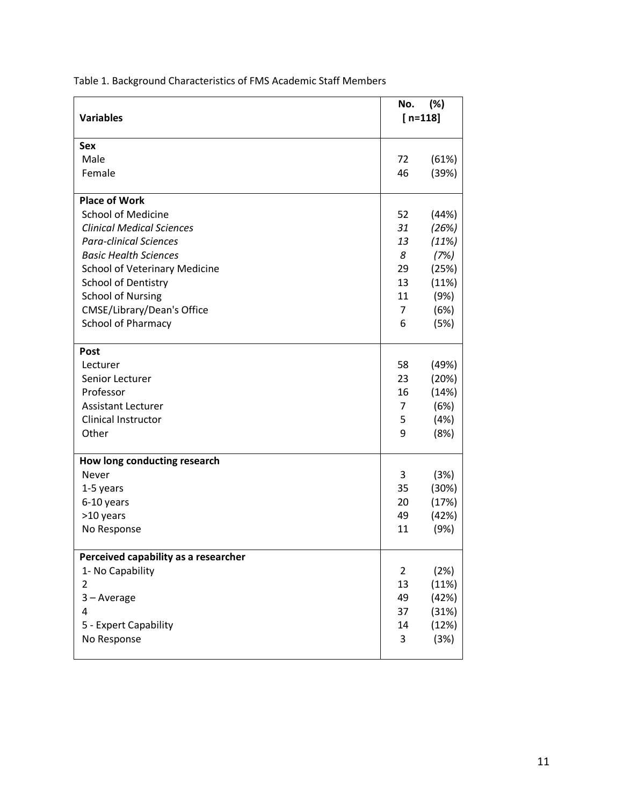|                                      | No.            | (%)       |  |
|--------------------------------------|----------------|-----------|--|
| <b>Variables</b>                     |                | $[n=118]$ |  |
|                                      |                |           |  |
| <b>Sex</b>                           |                |           |  |
| Male                                 | 72             | (61%)     |  |
| Female                               | 46             | (39%)     |  |
| <b>Place of Work</b>                 |                |           |  |
| <b>School of Medicine</b>            | 52             | (44%)     |  |
| <b>Clinical Medical Sciences</b>     | 31             | (26%)     |  |
| <b>Para-clinical Sciences</b>        | 13             | (11%)     |  |
| <b>Basic Health Sciences</b>         | 8              | (7%)      |  |
| School of Veterinary Medicine        | 29             | (25%)     |  |
| School of Dentistry                  | 13             | (11%)     |  |
| <b>School of Nursing</b>             | 11             | (9%)      |  |
| CMSE/Library/Dean's Office           | 7              | (6%)      |  |
| School of Pharmacy                   | 6              | (5%)      |  |
| <b>Post</b>                          |                |           |  |
| Lecturer                             | 58             | (49%)     |  |
| Senior Lecturer                      | 23             | (20%)     |  |
| Professor                            | 16             | (14%)     |  |
| <b>Assistant Lecturer</b>            | $\overline{7}$ | (6%)      |  |
| Clinical Instructor                  | 5              | (4%)      |  |
| Other                                | 9              | (8%)      |  |
| How long conducting research         |                |           |  |
| Never                                | 3              | (3%)      |  |
| 1-5 years                            | 35             | (30%)     |  |
| 6-10 years                           | 20             | (17%)     |  |
| >10 years                            | 49             | (42%)     |  |
| No Response                          | 11             | (9%)      |  |
| Perceived capability as a researcher |                |           |  |
| 1- No Capability                     | $\overline{2}$ | (2%)      |  |
| $\overline{2}$                       | 13             | (11%)     |  |
| 3-Average                            | 49             | (42%)     |  |
| 4                                    | 37             | (31%)     |  |
| 5 - Expert Capability                | 14             | (12%)     |  |
| No Response                          | 3              | (3%)      |  |
|                                      |                |           |  |

Table 1. Background Characteristics of FMS Academic Staff Members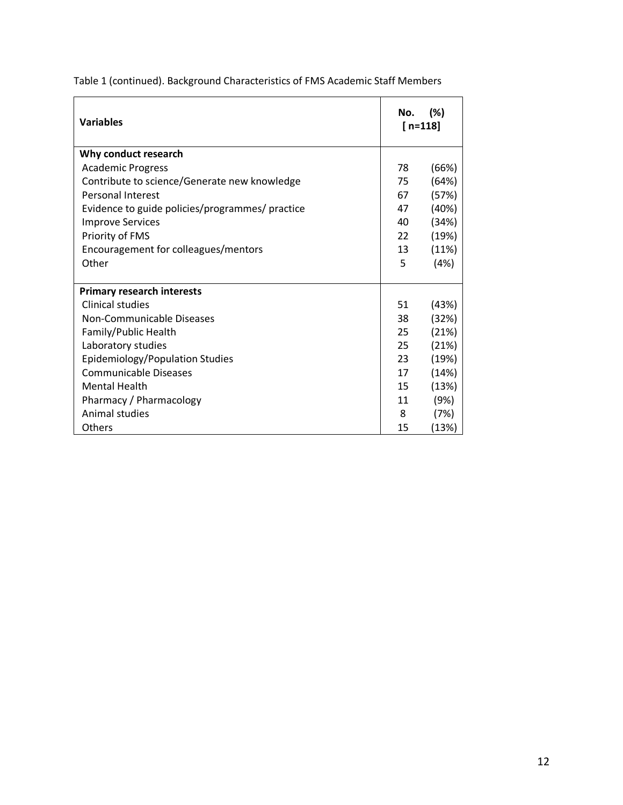| <b>Variables</b>                                | No. | (%)<br>$[n=118]$ |
|-------------------------------------------------|-----|------------------|
| Why conduct research                            |     |                  |
| <b>Academic Progress</b>                        | 78  | (66%)            |
| Contribute to science/Generate new knowledge    | 75  | (64%)            |
| Personal Interest                               | 67  | (57%)            |
| Evidence to guide policies/programmes/ practice | 47  | (40%)            |
| <b>Improve Services</b>                         | 40  | (34%)            |
| Priority of FMS                                 | 22  | (19%)            |
| Encouragement for colleagues/mentors            | 13  | (11%)            |
| Other                                           | 5   | (4%)             |
|                                                 |     |                  |
| <b>Primary research interests</b>               |     |                  |
| <b>Clinical studies</b>                         | 51  | (43%)            |
| Non-Communicable Diseases                       | 38  | (32%)            |
| Family/Public Health                            | 25  | (21%)            |
| Laboratory studies                              | 25  | (21%)            |
| Epidemiology/Population Studies                 | 23  | (19%)            |
| Communicable Diseases                           | 17  | (14%)            |
| <b>Mental Health</b>                            | 15  | (13%)            |
| Pharmacy / Pharmacology                         | 11  | (9%)             |
| Animal studies                                  | 8   | (7%)             |
| Others                                          | 15  | (13%)            |

Table 1 (continued). Background Characteristics of FMS Academic Staff Members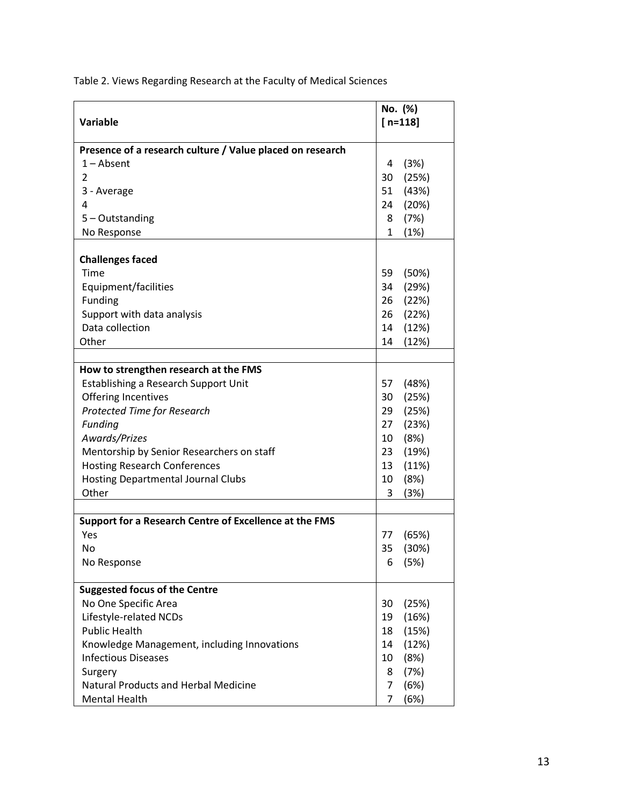Table 2. Views Regarding Research at the Faculty of Medical Sciences

| <b>Variable</b><br>$[n=118]$<br>Presence of a research culture / Value placed on research<br>$1 -$ Absent<br>4<br>(3%)<br>30<br>(25%)<br>2<br>51<br>(43%)<br>3 - Average<br>24<br>(20%)<br>4<br>(7%)<br>5 - Outstanding<br>8<br>No Response<br>$\mathbf{1}$<br>(1%)<br><b>Challenges faced</b><br>Time<br>59<br>(50%)<br>Equipment/facilities<br>34<br>(29%)<br>Funding<br>26<br>(22%)<br>Support with data analysis<br>26<br>(22%)<br>Data collection<br>(12%)<br>14<br>Other<br>(12%)<br>14<br>How to strengthen research at the FMS<br>Establishing a Research Support Unit<br>(48%)<br>57<br>Offering Incentives<br>30<br>(25%)<br>Protected Time for Research<br>(25%)<br>29<br>Funding<br>27<br>(23%)<br>Awards/Prizes<br>10 (8%)<br>Mentorship by Senior Researchers on staff<br>23 (19%)<br><b>Hosting Research Conferences</b><br>13<br>(11%)<br><b>Hosting Departmental Journal Clubs</b><br>10<br>(8%)<br>Other<br>(3%)<br>3 |
|-----------------------------------------------------------------------------------------------------------------------------------------------------------------------------------------------------------------------------------------------------------------------------------------------------------------------------------------------------------------------------------------------------------------------------------------------------------------------------------------------------------------------------------------------------------------------------------------------------------------------------------------------------------------------------------------------------------------------------------------------------------------------------------------------------------------------------------------------------------------------------------------------------------------------------------------|
|                                                                                                                                                                                                                                                                                                                                                                                                                                                                                                                                                                                                                                                                                                                                                                                                                                                                                                                                         |
|                                                                                                                                                                                                                                                                                                                                                                                                                                                                                                                                                                                                                                                                                                                                                                                                                                                                                                                                         |
|                                                                                                                                                                                                                                                                                                                                                                                                                                                                                                                                                                                                                                                                                                                                                                                                                                                                                                                                         |
|                                                                                                                                                                                                                                                                                                                                                                                                                                                                                                                                                                                                                                                                                                                                                                                                                                                                                                                                         |
|                                                                                                                                                                                                                                                                                                                                                                                                                                                                                                                                                                                                                                                                                                                                                                                                                                                                                                                                         |
|                                                                                                                                                                                                                                                                                                                                                                                                                                                                                                                                                                                                                                                                                                                                                                                                                                                                                                                                         |
|                                                                                                                                                                                                                                                                                                                                                                                                                                                                                                                                                                                                                                                                                                                                                                                                                                                                                                                                         |
|                                                                                                                                                                                                                                                                                                                                                                                                                                                                                                                                                                                                                                                                                                                                                                                                                                                                                                                                         |
|                                                                                                                                                                                                                                                                                                                                                                                                                                                                                                                                                                                                                                                                                                                                                                                                                                                                                                                                         |
|                                                                                                                                                                                                                                                                                                                                                                                                                                                                                                                                                                                                                                                                                                                                                                                                                                                                                                                                         |
|                                                                                                                                                                                                                                                                                                                                                                                                                                                                                                                                                                                                                                                                                                                                                                                                                                                                                                                                         |
|                                                                                                                                                                                                                                                                                                                                                                                                                                                                                                                                                                                                                                                                                                                                                                                                                                                                                                                                         |
|                                                                                                                                                                                                                                                                                                                                                                                                                                                                                                                                                                                                                                                                                                                                                                                                                                                                                                                                         |
|                                                                                                                                                                                                                                                                                                                                                                                                                                                                                                                                                                                                                                                                                                                                                                                                                                                                                                                                         |
|                                                                                                                                                                                                                                                                                                                                                                                                                                                                                                                                                                                                                                                                                                                                                                                                                                                                                                                                         |
|                                                                                                                                                                                                                                                                                                                                                                                                                                                                                                                                                                                                                                                                                                                                                                                                                                                                                                                                         |
|                                                                                                                                                                                                                                                                                                                                                                                                                                                                                                                                                                                                                                                                                                                                                                                                                                                                                                                                         |
|                                                                                                                                                                                                                                                                                                                                                                                                                                                                                                                                                                                                                                                                                                                                                                                                                                                                                                                                         |
|                                                                                                                                                                                                                                                                                                                                                                                                                                                                                                                                                                                                                                                                                                                                                                                                                                                                                                                                         |
|                                                                                                                                                                                                                                                                                                                                                                                                                                                                                                                                                                                                                                                                                                                                                                                                                                                                                                                                         |
|                                                                                                                                                                                                                                                                                                                                                                                                                                                                                                                                                                                                                                                                                                                                                                                                                                                                                                                                         |
|                                                                                                                                                                                                                                                                                                                                                                                                                                                                                                                                                                                                                                                                                                                                                                                                                                                                                                                                         |
|                                                                                                                                                                                                                                                                                                                                                                                                                                                                                                                                                                                                                                                                                                                                                                                                                                                                                                                                         |
|                                                                                                                                                                                                                                                                                                                                                                                                                                                                                                                                                                                                                                                                                                                                                                                                                                                                                                                                         |
|                                                                                                                                                                                                                                                                                                                                                                                                                                                                                                                                                                                                                                                                                                                                                                                                                                                                                                                                         |
|                                                                                                                                                                                                                                                                                                                                                                                                                                                                                                                                                                                                                                                                                                                                                                                                                                                                                                                                         |
|                                                                                                                                                                                                                                                                                                                                                                                                                                                                                                                                                                                                                                                                                                                                                                                                                                                                                                                                         |
|                                                                                                                                                                                                                                                                                                                                                                                                                                                                                                                                                                                                                                                                                                                                                                                                                                                                                                                                         |
| Support for a Research Centre of Excellence at the FMS                                                                                                                                                                                                                                                                                                                                                                                                                                                                                                                                                                                                                                                                                                                                                                                                                                                                                  |
| Yes<br>77<br>(65%)                                                                                                                                                                                                                                                                                                                                                                                                                                                                                                                                                                                                                                                                                                                                                                                                                                                                                                                      |
| <b>No</b><br>35<br>(30%)                                                                                                                                                                                                                                                                                                                                                                                                                                                                                                                                                                                                                                                                                                                                                                                                                                                                                                                |
| No Response<br>6<br>(5%)                                                                                                                                                                                                                                                                                                                                                                                                                                                                                                                                                                                                                                                                                                                                                                                                                                                                                                                |
| <b>Suggested focus of the Centre</b>                                                                                                                                                                                                                                                                                                                                                                                                                                                                                                                                                                                                                                                                                                                                                                                                                                                                                                    |
| No One Specific Area<br>30<br>(25%)                                                                                                                                                                                                                                                                                                                                                                                                                                                                                                                                                                                                                                                                                                                                                                                                                                                                                                     |
| Lifestyle-related NCDs<br>19<br>(16%)                                                                                                                                                                                                                                                                                                                                                                                                                                                                                                                                                                                                                                                                                                                                                                                                                                                                                                   |
| <b>Public Health</b><br>18<br>(15%)                                                                                                                                                                                                                                                                                                                                                                                                                                                                                                                                                                                                                                                                                                                                                                                                                                                                                                     |
| Knowledge Management, including Innovations<br>14<br>(12%)                                                                                                                                                                                                                                                                                                                                                                                                                                                                                                                                                                                                                                                                                                                                                                                                                                                                              |
| <b>Infectious Diseases</b><br>10<br>(8%)                                                                                                                                                                                                                                                                                                                                                                                                                                                                                                                                                                                                                                                                                                                                                                                                                                                                                                |
| 8<br>Surgery<br>(7%)                                                                                                                                                                                                                                                                                                                                                                                                                                                                                                                                                                                                                                                                                                                                                                                                                                                                                                                    |
| <b>Natural Products and Herbal Medicine</b><br>7<br>(6%)                                                                                                                                                                                                                                                                                                                                                                                                                                                                                                                                                                                                                                                                                                                                                                                                                                                                                |
| 7<br><b>Mental Health</b><br>(6%)                                                                                                                                                                                                                                                                                                                                                                                                                                                                                                                                                                                                                                                                                                                                                                                                                                                                                                       |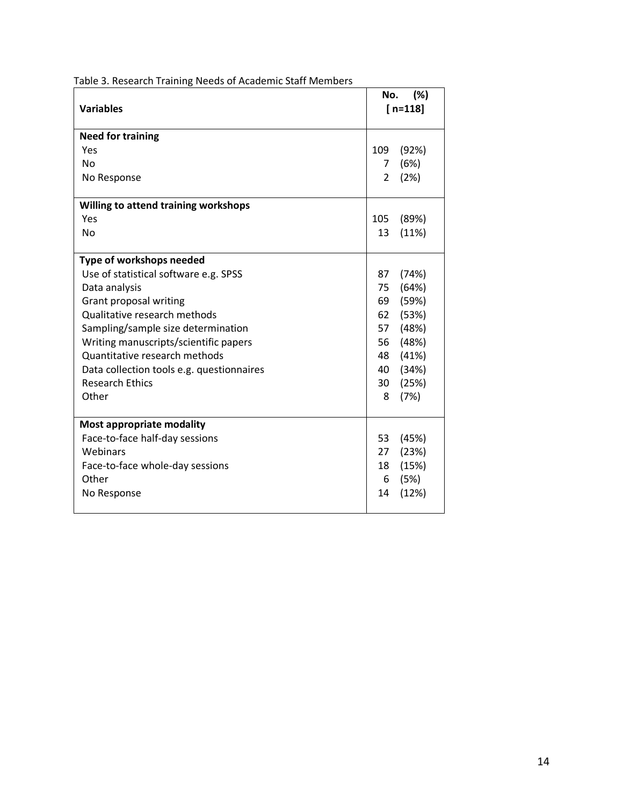| <b>Variables</b>                          | (%)<br>No.<br>$[n=118]$ |       |
|-------------------------------------------|-------------------------|-------|
| <b>Need for training</b>                  |                         |       |
| Yes                                       | 109                     | (92%) |
| <b>No</b>                                 | 7                       | (6%)  |
| No Response                               | $\mathcal{P}$           | (2%)  |
| Willing to attend training workshops      |                         |       |
| Yes                                       | 105                     | (89%) |
| <b>No</b>                                 | 13                      | (11%) |
| Type of workshops needed                  |                         |       |
| Use of statistical software e.g. SPSS     | 87                      | (74%) |
| Data analysis                             | 75                      | (64%) |
| Grant proposal writing                    | 69                      | (59%) |
| Qualitative research methods              | 62                      | (53%) |
| Sampling/sample size determination        | 57                      | (48%) |
| Writing manuscripts/scientific papers     | 56                      | (48%) |
| Quantitative research methods             | 48                      | (41%) |
| Data collection tools e.g. questionnaires | 40                      | (34%) |
| <b>Research Ethics</b>                    | 30                      | (25%) |
| Other                                     | 8                       | (7%)  |
| Most appropriate modality                 |                         |       |
| Face-to-face half-day sessions            | 53                      | (45%) |
| Webinars                                  | 27                      | (23%) |
| Face-to-face whole-day sessions           | 18                      | (15%) |
| Other                                     | 6                       | (5%)  |
| No Response                               | 14                      | (12%) |

Table 3. Research Training Needs of Academic Staff Members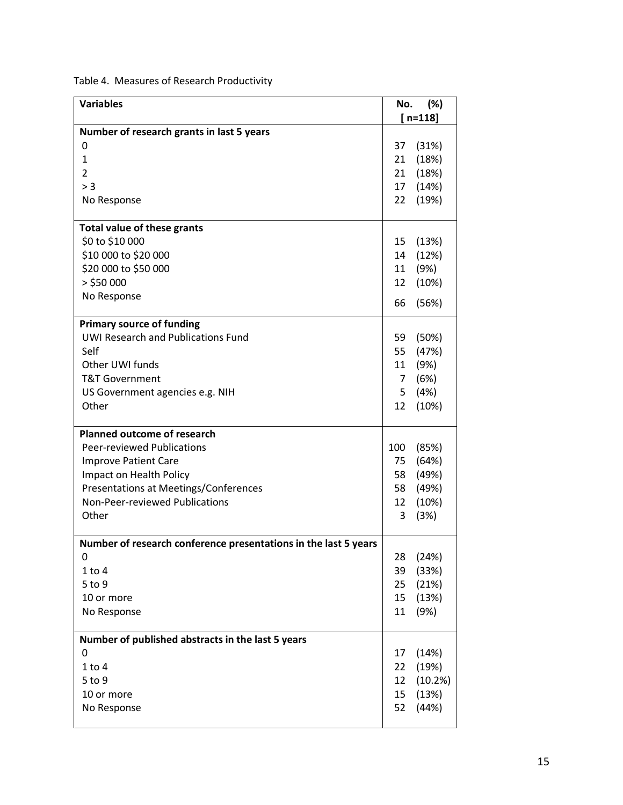Table 4. Measures of Research Productivity

| <b>Variables</b>                                                | No.            | (%)       |
|-----------------------------------------------------------------|----------------|-----------|
|                                                                 |                | $[n=118]$ |
| Number of research grants in last 5 years                       |                |           |
| 0                                                               | 37             | (31%)     |
| $\mathbf{1}$                                                    | 21             | (18%)     |
| $\overline{2}$                                                  | 21             | (18%)     |
| > 3                                                             | 17             | (14%)     |
| No Response                                                     | 22             | (19%)     |
|                                                                 |                |           |
| <b>Total value of these grants</b>                              |                |           |
| \$0 to \$10 000                                                 | 15             | (13%)     |
| \$10 000 to \$20 000                                            | 14             | (12%)     |
| \$20 000 to \$50 000                                            | 11             | (9%)      |
| $>$ \$50 000                                                    | 12             | (10%)     |
| No Response                                                     |                |           |
|                                                                 | 66             | (56%)     |
| <b>Primary source of funding</b>                                |                |           |
| <b>UWI Research and Publications Fund</b>                       | 59             | (50%)     |
| Self                                                            | 55             | (47%)     |
| Other UWI funds                                                 | 11             | (9%)      |
| <b>T&amp;T Government</b>                                       | $\overline{7}$ | (6%)      |
| US Government agencies e.g. NIH                                 | 5              | (4%)      |
| Other                                                           | 12             | (10%)     |
|                                                                 |                |           |
| <b>Planned outcome of research</b>                              |                |           |
| Peer-reviewed Publications                                      | 100            | (85%)     |
| <b>Improve Patient Care</b>                                     | 75             | (64%)     |
| Impact on Health Policy                                         | 58             | (49%)     |
| Presentations at Meetings/Conferences                           | 58             | (49%)     |
| Non-Peer-reviewed Publications                                  | 12             | (10%)     |
| Other                                                           | 3              | (3%)      |
|                                                                 |                |           |
| Number of research conference presentations in the last 5 years |                |           |
| 0                                                               | 28             | (24%)     |
| $1$ to $4$                                                      | 39             | (33%)     |
| 5 to 9                                                          | 25             | (21%)     |
| 10 or more                                                      | 15             | (13%)     |
| No Response                                                     | 11             | (9%)      |
|                                                                 |                |           |
| Number of published abstracts in the last 5 years               |                |           |
| 0                                                               | 17             | (14%)     |
| $1$ to $4$                                                      | 22             | (19%)     |
| 5 to 9                                                          | 12             | (10.2%)   |
| 10 or more                                                      | 15             | (13%)     |
| No Response                                                     | 52             | (44%)     |
|                                                                 |                |           |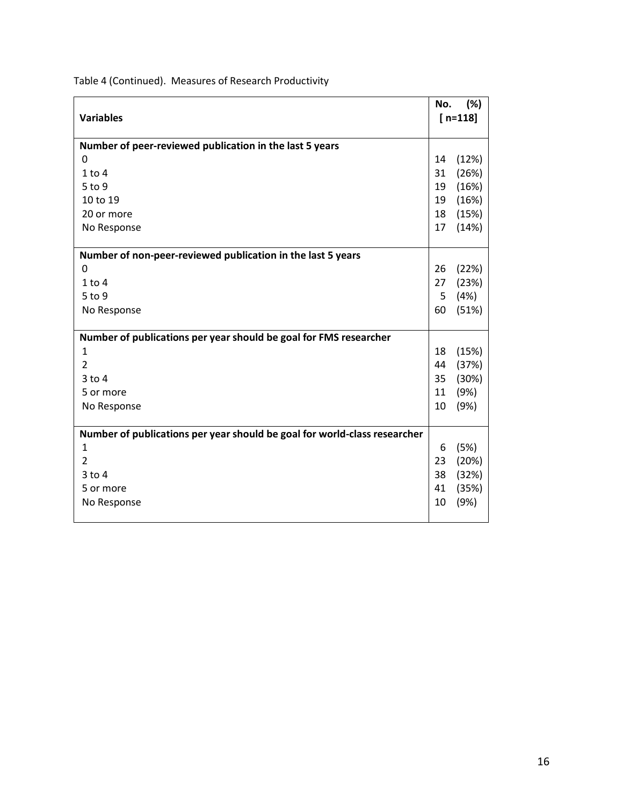|                                                                           | No. | (%)       |
|---------------------------------------------------------------------------|-----|-----------|
| <b>Variables</b>                                                          |     | $[n=118]$ |
| Number of peer-reviewed publication in the last 5 years                   |     |           |
| 0                                                                         | 14  | (12%)     |
| $1$ to $4$                                                                | 31  | (26%)     |
| 5 to 9                                                                    | 19  | (16%)     |
| 10 to 19                                                                  | 19  | (16%)     |
| 20 or more                                                                | 18  | (15%)     |
| No Response                                                               | 17  | (14%)     |
|                                                                           |     |           |
| Number of non-peer-reviewed publication in the last 5 years               |     |           |
| 0                                                                         | 26  | (22%)     |
| $1$ to $4$                                                                | 27  | (23%)     |
| 5 to 9                                                                    | 5   | (4%)      |
| No Response                                                               | 60  | (51%)     |
|                                                                           |     |           |
| Number of publications per year should be goal for FMS researcher         |     |           |
| 1                                                                         | 18  | (15%)     |
| $\overline{2}$                                                            | 44  | (37%)     |
| $3$ to $4$                                                                | 35  | (30%)     |
| 5 or more                                                                 | 11  | (9%)      |
| No Response                                                               | 10  | (9%)      |
|                                                                           |     |           |
| Number of publications per year should be goal for world-class researcher |     |           |
| 1                                                                         | 6   | (5%)      |
| $\overline{2}$                                                            | 23  | (20%)     |
| $3$ to $4$                                                                | 38  | (32%)     |
| 5 or more                                                                 | 41  | (35%)     |
| No Response                                                               | 10  | (9%)      |
|                                                                           |     |           |

Table 4 (Continued). Measures of Research Productivity